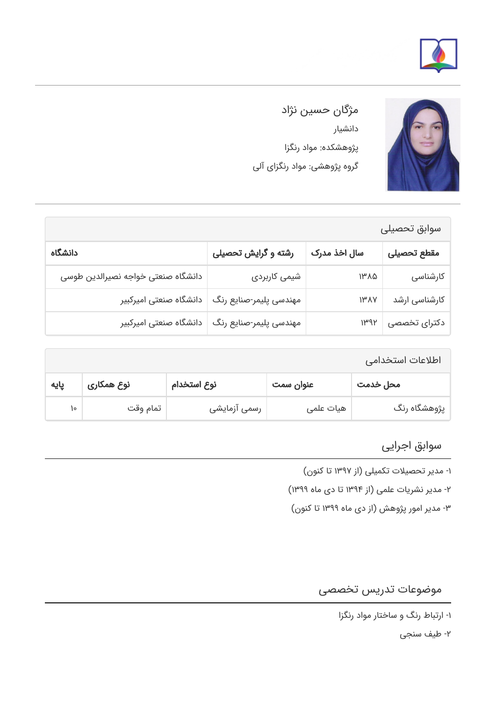



مژگان حسین نژاد دانشیار پژوهشکده: مواد رنگزا گروه پژوهشی: مواد رنگزای آلی

| سوابق تحصيلى                       |                        |                          |               |  |  |
|------------------------------------|------------------------|--------------------------|---------------|--|--|
| دانشگاه                            | رشته و گرایش تحصیلی    | سال اخذ مدرک             | مقطع تحصيلى   |  |  |
| دانشگاه صنعتی خواجه نصیرالدین طوسی | شیمی کاربردی           | $1^{\mu} \Lambda \Delta$ | کارشناسی      |  |  |
| دانشگاه صنعتی امیرکبیر             | مهندسی پلیمر-صنایع رنگ | $I^{\mu} \Lambda Y$      | کارشناسی ارشد |  |  |
| دانشگاه صنعتی امیرکبیر             | مهندسی پلیمر-صنایع رنگ | $1^{\mu}$ 94             | دکترای تخصصی  |  |  |

| اطلاعات استخدامى |            |              |           |              |
|------------------|------------|--------------|-----------|--------------|
| پایه             | نوع همکاری | نوع استخدام  | عنوان سمت | محل خدمت     |
| ١۰               | تمام وقت   | رسمی آزمایشی | هیات علمی | پژوهشگاه رنگ |

## سوابق اجرایی

-۱ مدیر تحصیلات تکمیلی (از ۱۳۹۷ تا کنون)

-۲ مدیر نشریات علمی (از ۱۳۹۴ تا دی ماه ۱۳۹۹)

-۳ مدیر امور پژوهش (از دی ماه ۱۳۹۹ تا کنون)

## موضوعات تدریس تخصصی

-۲ طیف سنجی

<sup>-</sup>۱ ارتباط رنگ و ساختار مواد رنگزا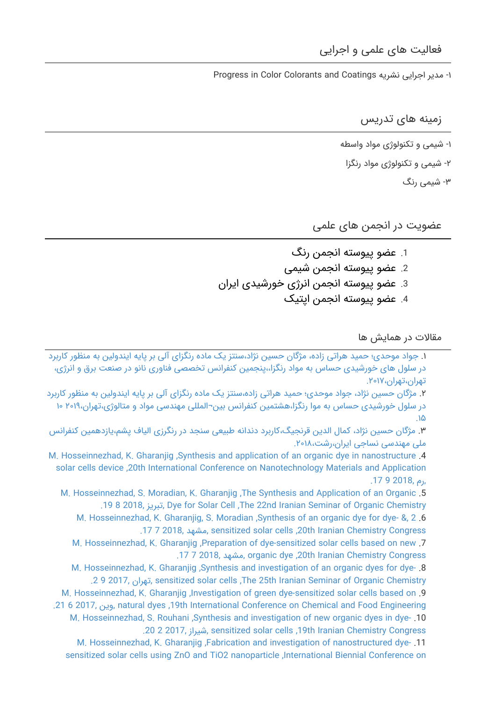Progress in Color Colorants and Coatings نشریه اجرایی مدیر -۱

زمینه های تدریس

-۱ شیمی و تکنولوژی مواد واسطه -۲ شیمی و تکنولوژی مواد رنگزا

-۳ شیمی رنگ

عضویت در انجمن های علمی

.1 عضو پیوسته انجمن رنگ .2 عضو پیوسته انجمن شیمی .3 عضو پیوسته انجمن انرژی خورشیدی ایران .4 عضو پیوسته انجمن اپتیک

مقالات در همایش ها

.۱ [جواد موحدی؛ حمید هراتی زاده، مژگان حسین نژاد،سنتز یک ماده رنگزای آلی بر پایه ایندولین به منظور کاربرد](https://faculty.icrc.ac.ir/mozhgan-hosseinnezhad/fa/articlesInConferences/76/%D8%B3%D9%86%D8%AA%D8%B2-%DB%8C%DA%A9-%D9%85%D8%A7%D8%AF%D9%87-%D8%B1%D9%86%DA%AF%D8%B2%D8%A7%DB%8C-%D8%A2%D9%84%DB%8C-%D8%A8%D8%B1-%D9%BE%D8%A7%DB%8C%D9%87-%D8%A7%DB%8C%D9%86%D8%AF%D9%88%D9%84%DB%8C%D9%86-%D8%A8%D9%87-%D9%85%D9%86%D8%B8%D9%88%D8%B1-%DA%A9%D8%A7%D8%B1%D8%A8%D8%B1%D8%AF-%D8%AF%D8%B1-%D8%B3%D9%84%D9%88%D9%84-%D9%87%D8%A7%DB%8C-%D8%AE%D9%88%D8%B1%D8%B4%DB%8C%D8%AF%DB%8C-%D8%AD%D8%B3%D8%A7%D8%B3-%D8%A8%D9%87-%D9%85%D9%88%D8%A7%D8%AF-%D8%B1%D9%86%DA%AF%D8%B2%D8%A7-) [در سلول های خورشیدی حساس به مواد رنگزا،،پنجمین کنفرانس تخصصی فناوری نانو در صنعت برق و انرژی،](https://faculty.icrc.ac.ir/mozhgan-hosseinnezhad/fa/articlesInConferences/76/%D8%B3%D9%86%D8%AA%D8%B2-%DB%8C%DA%A9-%D9%85%D8%A7%D8%AF%D9%87-%D8%B1%D9%86%DA%AF%D8%B2%D8%A7%DB%8C-%D8%A2%D9%84%DB%8C-%D8%A8%D8%B1-%D9%BE%D8%A7%DB%8C%D9%87-%D8%A7%DB%8C%D9%86%D8%AF%D9%88%D9%84%DB%8C%D9%86-%D8%A8%D9%87-%D9%85%D9%86%D8%B8%D9%88%D8%B1-%DA%A9%D8%A7%D8%B1%D8%A8%D8%B1%D8%AF-%D8%AF%D8%B1-%D8%B3%D9%84%D9%88%D9%84-%D9%87%D8%A7%DB%8C-%D8%AE%D9%88%D8%B1%D8%B4%DB%8C%D8%AF%DB%8C-%D8%AD%D8%B3%D8%A7%D8%B3-%D8%A8%D9%87-%D9%85%D9%88%D8%A7%D8%AF-%D8%B1%D9%86%DA%AF%D8%B2%D8%A7-) [تهران،تهران.۲۰۱۷،](https://faculty.icrc.ac.ir/mozhgan-hosseinnezhad/fa/articlesInConferences/76/%D8%B3%D9%86%D8%AA%D8%B2-%DB%8C%DA%A9-%D9%85%D8%A7%D8%AF%D9%87-%D8%B1%D9%86%DA%AF%D8%B2%D8%A7%DB%8C-%D8%A2%D9%84%DB%8C-%D8%A8%D8%B1-%D9%BE%D8%A7%DB%8C%D9%87-%D8%A7%DB%8C%D9%86%D8%AF%D9%88%D9%84%DB%8C%D9%86-%D8%A8%D9%87-%D9%85%D9%86%D8%B8%D9%88%D8%B1-%DA%A9%D8%A7%D8%B1%D8%A8%D8%B1%D8%AF-%D8%AF%D8%B1-%D8%B3%D9%84%D9%88%D9%84-%D9%87%D8%A7%DB%8C-%D8%AE%D9%88%D8%B1%D8%B4%DB%8C%D8%AF%DB%8C-%D8%AD%D8%B3%D8%A7%D8%B3-%D8%A8%D9%87-%D9%85%D9%88%D8%A7%D8%AF-%D8%B1%D9%86%DA%AF%D8%B2%D8%A7-)

.۲ [مژگان حسین نژاد، جواد موحدی؛ حمید هراتی زاده،سنتز یک ماده رنگزای آلی بر پایه ایندولین به منظور کاربرد](https://faculty.icrc.ac.ir/mozhgan-hosseinnezhad/fa/articlesInConferences/62/%D8%B3%D9%86%D8%AA%D8%B2-%DB%8C%DA%A9-%D9%85%D8%A7%D8%AF%D9%87-%D8%B1%D9%86%DA%AF%D8%B2%D8%A7%DB%8C-%D8%A2%D9%84%DB%8C-%D8%A8%D8%B1-%D9%BE%D8%A7%DB%8C%D9%87-%D8%A7%DB%8C%D9%86%D8%AF%D9%88%D9%84%DB%8C%D9%86-%D8%A8%D9%87-%D9%85%D9%86%D8%B8%D9%88%D8%B1-%DA%A9%D8%A7%D8%B1%D8%A8%D8%B1%D8%AF-%D8%AF%D8%B1-%D8%B3%D9%84%D9%88%D9%84-%D8%AE%D9%88%D8%B1%D8%B4%DB%8C%D8%AF%DB%8C-%D8%AD%D8%B3%D8%A7%D8%B3-%D8%A8%D9%87-%D9%85%D9%88%D8%A7-%D8%B1%D9%86%DA%AF%D8%B2%D8%A7) [در سلول خورشیدی حساس به موا رنگزا،هشتمین کنفرانس بین¬المللی مهندسی مواد و متالوژی،تهران۲۰۱۹، ۱۰](https://faculty.icrc.ac.ir/mozhgan-hosseinnezhad/fa/articlesInConferences/62/%D8%B3%D9%86%D8%AA%D8%B2-%DB%8C%DA%A9-%D9%85%D8%A7%D8%AF%D9%87-%D8%B1%D9%86%DA%AF%D8%B2%D8%A7%DB%8C-%D8%A2%D9%84%DB%8C-%D8%A8%D8%B1-%D9%BE%D8%A7%DB%8C%D9%87-%D8%A7%DB%8C%D9%86%D8%AF%D9%88%D9%84%DB%8C%D9%86-%D8%A8%D9%87-%D9%85%D9%86%D8%B8%D9%88%D8%B1-%DA%A9%D8%A7%D8%B1%D8%A8%D8%B1%D8%AF-%D8%AF%D8%B1-%D8%B3%D9%84%D9%88%D9%84-%D8%AE%D9%88%D8%B1%D8%B4%DB%8C%D8%AF%DB%8C-%D8%AD%D8%B3%D8%A7%D8%B3-%D8%A8%D9%87-%D9%85%D9%88%D8%A7-%D8%B1%D9%86%DA%AF%D8%B2%D8%A7) [.۱۵](https://faculty.icrc.ac.ir/mozhgan-hosseinnezhad/fa/articlesInConferences/62/%D8%B3%D9%86%D8%AA%D8%B2-%DB%8C%DA%A9-%D9%85%D8%A7%D8%AF%D9%87-%D8%B1%D9%86%DA%AF%D8%B2%D8%A7%DB%8C-%D8%A2%D9%84%DB%8C-%D8%A8%D8%B1-%D9%BE%D8%A7%DB%8C%D9%87-%D8%A7%DB%8C%D9%86%D8%AF%D9%88%D9%84%DB%8C%D9%86-%D8%A8%D9%87-%D9%85%D9%86%D8%B8%D9%88%D8%B1-%DA%A9%D8%A7%D8%B1%D8%A8%D8%B1%D8%AF-%D8%AF%D8%B1-%D8%B3%D9%84%D9%88%D9%84-%D8%AE%D9%88%D8%B1%D8%B4%DB%8C%D8%AF%DB%8C-%D8%AD%D8%B3%D8%A7%D8%B3-%D8%A8%D9%87-%D9%85%D9%88%D8%A7-%D8%B1%D9%86%DA%AF%D8%B2%D8%A7)

.۳ [مژگان حسین نژاد، کمال الدین قرنجیگ،کاربرد دندانه طبیعی سنجد در رنگرزی الیاف پشم،یازدهمین کنفرانس](https://faculty.icrc.ac.ir/mozhgan-hosseinnezhad/fa/articlesInConferences/75/%DA%A9%D8%A7%D8%B1%D8%A8%D8%B1%D8%AF-%D8%AF%D9%86%D8%AF%D8%A7%D9%86%D9%87-%D8%B7%D8%A8%DB%8C%D8%B9%DB%8C-%D8%B3%D9%86%D8%AC%D8%AF-%D8%AF%D8%B1-%D8%B1%D9%86%DA%AF%D8%B1%D8%B2%DB%8C-%D8%A7%D9%84%DB%8C%D8%A7%D9%81-%D9%BE%D8%B4%D9%85) [ملی مهندسی نساجی ایران،رشت.۲۰۱۸،](https://faculty.icrc.ac.ir/mozhgan-hosseinnezhad/fa/articlesInConferences/75/%DA%A9%D8%A7%D8%B1%D8%A8%D8%B1%D8%AF-%D8%AF%D9%86%D8%AF%D8%A7%D9%86%D9%87-%D8%B7%D8%A8%DB%8C%D8%B9%DB%8C-%D8%B3%D9%86%D8%AC%D8%AF-%D8%AF%D8%B1-%D8%B1%D9%86%DA%AF%D8%B1%D8%B2%DB%8C-%D8%A7%D9%84%DB%8C%D8%A7%D9%81-%D9%BE%D8%B4%D9%85)

[M. Hosseinnezhad, K. Gharanjig ,Synthesis and application of an organic dye in nanostructure](https://faculty.icrc.ac.ir/mozhgan-hosseinnezhad/fa/articlesInConferences/63/synthesis-and-application-of-an-organic-dye-in-nanostructure-solar-cells-device) .4 [solar cells device ,20th International Conference on Nanotechnology Materials and Application](https://faculty.icrc.ac.ir/mozhgan-hosseinnezhad/fa/articlesInConferences/63/synthesis-and-application-of-an-organic-dye-in-nanostructure-solar-cells-device) [,رم 2018, 9 .17](https://faculty.icrc.ac.ir/mozhgan-hosseinnezhad/fa/articlesInConferences/63/synthesis-and-application-of-an-organic-dye-in-nanostructure-solar-cells-device)

[M. Hosseinnezhad, S. Moradian, K. Gharanjig ,The Synthesis and Application of an Organic](https://faculty.icrc.ac.ir/mozhgan-hosseinnezhad/fa/articlesInConferences/73/the-synthesis-and-application-of-an-organic-dye-for-solar-cell) .5 [.19 8 2018, تبریز, Dye for Solar Cell ,The 22nd Iranian Seminar of Organic Chemistry](https://faculty.icrc.ac.ir/mozhgan-hosseinnezhad/fa/articlesInConferences/73/the-synthesis-and-application-of-an-organic-dye-for-solar-cell)

[M. Hosseinnezhad, K. Gharanjig, S. Moradian ,Synthesis of an organic dye for dye- &, 2](https://faculty.icrc.ac.ir/mozhgan-hosseinnezhad/fa/articlesInConferences/64/synthesis-of-an-organic-dye-for-dye-sensitized-solar-cells) .6 [.17 7 2018, مشهد, sensitized solar cells ,20th Iranian Chemistry Congress](https://faculty.icrc.ac.ir/mozhgan-hosseinnezhad/fa/articlesInConferences/64/synthesis-of-an-organic-dye-for-dye-sensitized-solar-cells)

[M. Hosseinnezhad, K. Gharanjig ,Preparation of dye-sensitized solar cells based on new](https://faculty.icrc.ac.ir/mozhgan-hosseinnezhad/fa/articlesInConferences/65/preparation-of-dye-sensitized-solar-cells-based-on-new-organic-dye) .7 [.17 7 2018, مشهد, organic dye ,20th Iranian Chemistry Congress](https://faculty.icrc.ac.ir/mozhgan-hosseinnezhad/fa/articlesInConferences/65/preparation-of-dye-sensitized-solar-cells-based-on-new-organic-dye)

[M. Hosseinnezhad, K. Gharanjig ,Synthesis and investigation of an organic dyes for dye-](https://faculty.icrc.ac.ir/mozhgan-hosseinnezhad/fa/articlesInConferences/66/synthesis-and-investigation-of-an-organic-dyes-for-dye-sensitized-solar-cells) .8 [.2 9 2017, تهران, sensitized solar cells ,The 25th Iranian Seminar of Organic Chemistry](https://faculty.icrc.ac.ir/mozhgan-hosseinnezhad/fa/articlesInConferences/66/synthesis-and-investigation-of-an-organic-dyes-for-dye-sensitized-solar-cells)

[M. Hosseinnezhad, K. Gharanjig ,Investigation of green dye-sensitized solar cells based on](https://faculty.icrc.ac.ir/mozhgan-hosseinnezhad/fa/articlesInConferences/68/investigation-of-green-dye-sensitized-solar-cells-based-on-natural-dyes) .9 [.21 6 2017, وین, natural dyes ,19th International Conference on Chemical and Food Engineering](https://faculty.icrc.ac.ir/mozhgan-hosseinnezhad/fa/articlesInConferences/68/investigation-of-green-dye-sensitized-solar-cells-based-on-natural-dyes) [M. Hosseinnezhad, S. Rouhani ,Synthesis and investigation of new organic dyes in dye-](https://faculty.icrc.ac.ir/mozhgan-hosseinnezhad/fa/articlesInConferences/69/synthesis-and-investigation-of-new-organic-dyes-in-dye-sensitized-solar-cells) .10

[.20 2 2017, شیراز, sensitized solar cells ,19th Iranian Chemistry Congress](https://faculty.icrc.ac.ir/mozhgan-hosseinnezhad/fa/articlesInConferences/69/synthesis-and-investigation-of-new-organic-dyes-in-dye-sensitized-solar-cells)

[M. Hosseinnezhad, K. Gharanjig ,Fabrication and investigation of nanostructured dye-](https://faculty.icrc.ac.ir/mozhgan-hosseinnezhad/fa/articlesInConferences/67/fabrication-and-investigation-of-nanostructured-dye-sensitized-solar-cells-using-zno-and-tio2-nanoparticle) .11 [sensitized solar cells using ZnO and TiO2 nanoparticle ,International Biennial Conference on](https://faculty.icrc.ac.ir/mozhgan-hosseinnezhad/fa/articlesInConferences/67/fabrication-and-investigation-of-nanostructured-dye-sensitized-solar-cells-using-zno-and-tio2-nanoparticle)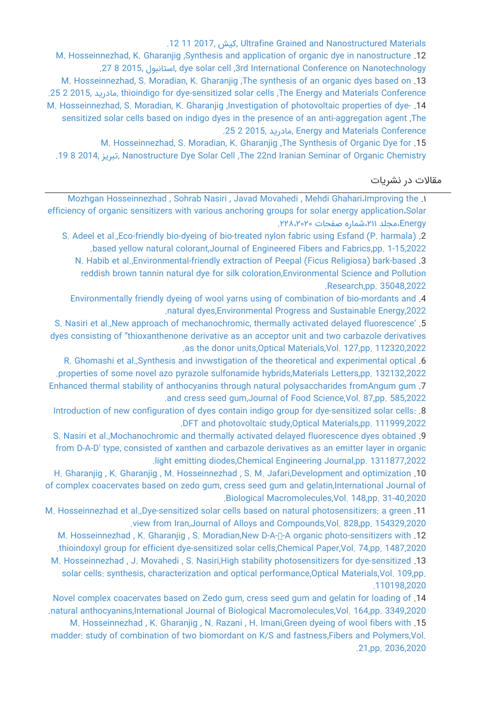[.12 11 2017, کیش, Ultrafine Grained and Nanostructured Materials](https://faculty.icrc.ac.ir/mozhgan-hosseinnezhad/fa/articlesInConferences/67/fabrication-and-investigation-of-nanostructured-dye-sensitized-solar-cells-using-zno-and-tio2-nanoparticle)

[M. Hosseinnezhad, K. Gharanjig ,Synthesis and application of organic dye in nanostructure](https://faculty.icrc.ac.ir/mozhgan-hosseinnezhad/fa/articlesInConferences/70/synthesis-and-application-of-organic-dye-in-nanostructure-dye-solar-cell) .12 [.27 8 2015, استانبول, dye solar cell ,3rd International Conference on Nanotechnology](https://faculty.icrc.ac.ir/mozhgan-hosseinnezhad/fa/articlesInConferences/70/synthesis-and-application-of-organic-dye-in-nanostructure-dye-solar-cell) [M. Hosseinnezhad, S. Moradian, K. Gharanjig ,The synthesis of an organic dyes based on](https://faculty.icrc.ac.ir/mozhgan-hosseinnezhad/fa/articlesInConferences/71/the-synthesis-of-an-organic-dyes-based-on-thioindigo-for-dye-sensitized-solar-cells) .13 [.25 2 2015, مادرید, thioindigo for dye-sensitized solar cells ,The Energy and Materials Conference](https://faculty.icrc.ac.ir/mozhgan-hosseinnezhad/fa/articlesInConferences/71/the-synthesis-of-an-organic-dyes-based-on-thioindigo-for-dye-sensitized-solar-cells) [M. Hosseinnezhad, S. Moradian, K. Gharanjig ,Investigation of photovoltaic properties of dye-](https://faculty.icrc.ac.ir/mozhgan-hosseinnezhad/fa/articlesInConferences/72/investigation-of-photovoltaic-properties-of-dye-sensitized-solar-cells-based-on-indigo-dyes-in-the-presence-of-an-anti-aggregation-agent) .14 [sensitized solar cells based on indigo dyes in the presence of an anti-aggregation agent ,The](https://faculty.icrc.ac.ir/mozhgan-hosseinnezhad/fa/articlesInConferences/72/investigation-of-photovoltaic-properties-of-dye-sensitized-solar-cells-based-on-indigo-dyes-in-the-presence-of-an-anti-aggregation-agent) [.25 2 2015, مادرید, Energy and Materials Conference](https://faculty.icrc.ac.ir/mozhgan-hosseinnezhad/fa/articlesInConferences/72/investigation-of-photovoltaic-properties-of-dye-sensitized-solar-cells-based-on-indigo-dyes-in-the-presence-of-an-anti-aggregation-agent)

[M. Hosseinnezhad, S. Moradian, K. Gharanjig ,The Synthesis of Organic Dye for](https://faculty.icrc.ac.ir/mozhgan-hosseinnezhad/fa/articlesInConferences/74/the-synthesis-of-organic-dye-for-nanostructure-dye-solar-cell) .15 [.19 8 2014, تبریز, Nanostructure Dye Solar Cell ,The 22nd Iranian Seminar of Organic Chemistry](https://faculty.icrc.ac.ir/mozhgan-hosseinnezhad/fa/articlesInConferences/74/the-synthesis-of-organic-dye-for-nanostructure-dye-solar-cell)

## مقالات در نشریات

[Mozhgan Hosseinnezhad , Sohrab Nasiri , Javad Movahedi , Mehdi Ghahari،Improving the](https://faculty.icrc.ac.ir/mozhgan-hosseinnezhad/fa/articlesInPublications/743/improving-the-efficiency-of-organic-sensitizers-with-various-anchoring-groups-for-solar-energy-application) .۱ [efficiency of organic sensitizers with various anchoring groups for solar energy application،Solar](https://faculty.icrc.ac.ir/mozhgan-hosseinnezhad/fa/articlesInPublications/743/improving-the-efficiency-of-organic-sensitizers-with-various-anchoring-groups-for-solar-energy-application) [Energy،مجلد ،۲۱۱شماره صفحات .۲۲۸،۲۰۲۰](https://faculty.icrc.ac.ir/mozhgan-hosseinnezhad/fa/articlesInPublications/743/improving-the-efficiency-of-organic-sensitizers-with-various-anchoring-groups-for-solar-energy-application)

[S. Adeel et al.,Eco-friendly bio-dyeing of bio-treated nylon fabric using Esfand \(P. harmala\)](https://faculty.icrc.ac.ir/mozhgan-hosseinnezhad/fa/articlesInPublications/939/eco-friendly-bio-dyeing-of-bio-treated-nylon-fabric-using-esfand-p.-harmala-based-yellow-natural-colorant) .2 [.based yellow natural colorant,Journal of Engineered Fibers and Fabrics,pp. 1-15,2022](https://faculty.icrc.ac.ir/mozhgan-hosseinnezhad/fa/articlesInPublications/939/eco-friendly-bio-dyeing-of-bio-treated-nylon-fabric-using-esfand-p.-harmala-based-yellow-natural-colorant) [N. Habib et al.,Environmental‑friendly extraction of Peepal \(Ficus Religiosa\) bark-based](https://faculty.icrc.ac.ir/mozhgan-hosseinnezhad/fa/articlesInPublications/938/environmental-friendly-extraction-of-peepal-ficus-religiosa-bark-based-reddish-brown-tannin-natural-dye-for-silk-coloration) .3 [reddish brown tannin natural dye for silk coloration,Environmental Science and Pollution](https://faculty.icrc.ac.ir/mozhgan-hosseinnezhad/fa/articlesInPublications/938/environmental-friendly-extraction-of-peepal-ficus-religiosa-bark-based-reddish-brown-tannin-natural-dye-for-silk-coloration) [.Research,pp. 35048,2022](https://faculty.icrc.ac.ir/mozhgan-hosseinnezhad/fa/articlesInPublications/938/environmental-friendly-extraction-of-peepal-ficus-religiosa-bark-based-reddish-brown-tannin-natural-dye-for-silk-coloration)

[Environmentally friendly dyeing of wool yarns using of combination of bio-mordants and](https://faculty.icrc.ac.ir/mozhgan-hosseinnezhad/fa/articlesInPublications/937/environmentally-friendly-dyeing-of-wool-yarns-using-of-combination-of-bio-mordants-and-natural-dyes) .4 [.natural dyes,Environmental Progress and Sustainable Energy,2022](https://faculty.icrc.ac.ir/mozhgan-hosseinnezhad/fa/articlesInPublications/937/environmentally-friendly-dyeing-of-wool-yarns-using-of-combination-of-bio-mordants-and-natural-dyes)

[S. Nasiri et al.,New approach of mechanochromic, thermally activated delayed fluorescence'](https://faculty.icrc.ac.ir/mozhgan-hosseinnezhad/fa/articlesInPublications/936/new-approach-of-mechanochromic-thermally-activated-delayed-fluorescence-dyes-consisting-of-thioxanthenone-derivative-as-an-acceptor-unit-and-two-carbazole-derivatives-as-the-donor-units) .5 [dyes consisting of "thioxanthenone derivative as an acceptor unit and two carbazole derivatives](https://faculty.icrc.ac.ir/mozhgan-hosseinnezhad/fa/articlesInPublications/936/new-approach-of-mechanochromic-thermally-activated-delayed-fluorescence-dyes-consisting-of-thioxanthenone-derivative-as-an-acceptor-unit-and-two-carbazole-derivatives-as-the-donor-units) [.as the donor units,Optical Materials,Vol. 127,pp. 112320,2022](https://faculty.icrc.ac.ir/mozhgan-hosseinnezhad/fa/articlesInPublications/936/new-approach-of-mechanochromic-thermally-activated-delayed-fluorescence-dyes-consisting-of-thioxanthenone-derivative-as-an-acceptor-unit-and-two-carbazole-derivatives-as-the-donor-units)

[R. Ghomashi et al.,Synthesis and invwstigation of the theoretical and experimental optical](https://faculty.icrc.ac.ir/mozhgan-hosseinnezhad/fa/articlesInPublications/935/synthesis-and-invwstigation-of-the-theoretical-and-experimental-optical-properties-of-some-novel-azo-pyrazole-sulfonamide-hybrids) .6 [.properties of some novel azo pyrazole sulfonamide hybrids,Materials Letters,pp. 132132,2022](https://faculty.icrc.ac.ir/mozhgan-hosseinnezhad/fa/articlesInPublications/935/synthesis-and-invwstigation-of-the-theoretical-and-experimental-optical-properties-of-some-novel-azo-pyrazole-sulfonamide-hybrids) [Enhanced thermal stability of anthocyanins through natural polysaccharides fromAngum gum](https://faculty.icrc.ac.ir/mozhgan-hosseinnezhad/fa/articlesInPublications/930/enhanced-thermal-stability-of-anthocyanins-through-natural-polysaccharides-fromangum-gum-and-cress-seed-gum) .7 [.and cress seed gum,Journal of Food Science,Vol. 87,pp. 585,2022](https://faculty.icrc.ac.ir/mozhgan-hosseinnezhad/fa/articlesInPublications/930/enhanced-thermal-stability-of-anthocyanins-through-natural-polysaccharides-fromangum-gum-and-cress-seed-gum)

[Introduction of new configuration of dyes contain indigo group for dye-sensitized solar cells:](https://faculty.icrc.ac.ir/mozhgan-hosseinnezhad/fa/articlesInPublications/926/introduction-of-new-configuration-of-dyes-contain-indigo-group-for-dye-sensitized-solar-cells-dft-and-photovoltaic-study) .8 [.DFT and photovoltaic study,Optical Materials,pp. 111999,2022](https://faculty.icrc.ac.ir/mozhgan-hosseinnezhad/fa/articlesInPublications/926/introduction-of-new-configuration-of-dyes-contain-indigo-group-for-dye-sensitized-solar-cells-dft-and-photovoltaic-study)

[S. Nasiri et al.,Mochanochromic and thermally activated delayed fluorescence dyes obtained](https://faculty.icrc.ac.ir/mozhgan-hosseinnezhad/fa/articlesInPublications/868/mochanochromic-and-thermally-activated-delayed-fluorescence-dyes-obtained-from-d-a-d-type-consisted-of-xanthen-and-carbazole-derivatives-as-an-emitter-layer-in-organic-light-emitting-diodes) .9 [from D-A-D' type, consisted of xanthen and carbazole derivatives as an emitter layer in organic](https://faculty.icrc.ac.ir/mozhgan-hosseinnezhad/fa/articlesInPublications/868/mochanochromic-and-thermally-activated-delayed-fluorescence-dyes-obtained-from-d-a-d-type-consisted-of-xanthen-and-carbazole-derivatives-as-an-emitter-layer-in-organic-light-emitting-diodes) [.light emitting diodes,Chemical Engineering Journal,pp. 1311877,2022](https://faculty.icrc.ac.ir/mozhgan-hosseinnezhad/fa/articlesInPublications/868/mochanochromic-and-thermally-activated-delayed-fluorescence-dyes-obtained-from-d-a-d-type-consisted-of-xanthen-and-carbazole-derivatives-as-an-emitter-layer-in-organic-light-emitting-diodes)

[H. Gharanjig , K. Gharanjig , M. Hosseinnezhad , S. M. Jafari,Development and optimization](https://faculty.icrc.ac.ir/mozhgan-hosseinnezhad/fa/articlesInPublications/668/development-and-optimization-of-complex-coacervates-based-on-zedo-gum-cress-seed-gum-and-gelatin) .10 [of complex coacervates based on zedo gum, cress seed gum and gelatin,International Journal of](https://faculty.icrc.ac.ir/mozhgan-hosseinnezhad/fa/articlesInPublications/668/development-and-optimization-of-complex-coacervates-based-on-zedo-gum-cress-seed-gum-and-gelatin) [.Biological Macromolecules,Vol. 148,pp. 31-40,2020](https://faculty.icrc.ac.ir/mozhgan-hosseinnezhad/fa/articlesInPublications/668/development-and-optimization-of-complex-coacervates-based-on-zedo-gum-cress-seed-gum-and-gelatin)

[M. Hosseinnezhad et al.,Dye-sensitized solar cells based on natural photosensitizers: a green](https://faculty.icrc.ac.ir/mozhgan-hosseinnezhad/fa/articlesInPublications/712/dye-sensitized-solar-cells-based-on-natural-photosensitizers-a-green-view-from-iran) .11 [.view from Iran,Journal of Alloys and Compounds,Vol. 828,pp. 154329,2020](https://faculty.icrc.ac.ir/mozhgan-hosseinnezhad/fa/articlesInPublications/712/dye-sensitized-solar-cells-based-on-natural-photosensitizers-a-green-view-from-iran)

[M. Hosseinnezhad , K. Gharanjig , S. Moradian,New D-A-π-A organic photo-sensitizers with](https://faculty.icrc.ac.ir/mozhgan-hosseinnezhad/fa/articlesInPublications/713/new-d-a-a-organic-photo-sensitizers-with-thioindoxyl-group-for-efficient-dye-sensitized-solar-cells) .12 [.thioindoxyl group for efficient dye-sensitized solar cells,Chemical Paper,Vol. 74,pp. 1487,2020](https://faculty.icrc.ac.ir/mozhgan-hosseinnezhad/fa/articlesInPublications/713/new-d-a-a-organic-photo-sensitizers-with-thioindoxyl-group-for-efficient-dye-sensitized-solar-cells) [M. Hosseinnezhad , J. Movahedi , S. Nasiri,High stability photosensitizers for dye-sensitized](https://faculty.icrc.ac.ir/mozhgan-hosseinnezhad/fa/articlesInPublications/740/high-stability-photosensitizers-for-dye-sensitized-solar-cells-synthesis-characterization-and-optical-performance) .13

[solar cells: synthesis, characterization and optical performance,Optical Materials,Vol. 109,pp.](https://faculty.icrc.ac.ir/mozhgan-hosseinnezhad/fa/articlesInPublications/740/high-stability-photosensitizers-for-dye-sensitized-solar-cells-synthesis-characterization-and-optical-performance) [.110198,2020](https://faculty.icrc.ac.ir/mozhgan-hosseinnezhad/fa/articlesInPublications/740/high-stability-photosensitizers-for-dye-sensitized-solar-cells-synthesis-characterization-and-optical-performance)

[Novel complex coacervates based on Zedo gum, cress seed gum and gelatin for loading of](https://faculty.icrc.ac.ir/mozhgan-hosseinnezhad/fa/articlesInPublications/741/novel-complex-coacervates-based-on-zedo-gum-cress-seed-gum-and-gelatin-for-loading-of-natural-anthocyanins) .14 [.natural anthocyanins,International Journal of Biological Macromolecules,Vol. 164,pp. 3349,2020](https://faculty.icrc.ac.ir/mozhgan-hosseinnezhad/fa/articlesInPublications/741/novel-complex-coacervates-based-on-zedo-gum-cress-seed-gum-and-gelatin-for-loading-of-natural-anthocyanins)

[M. Hosseinnezhad , K. Gharanjig , N. Razani , H. Imani,Green dyeing of wool fibers with](https://faculty.icrc.ac.ir/mozhgan-hosseinnezhad/fa/articlesInPublications/745/green-dyeing-of-wool-fibers-with-madder-study-of-combination-of-two-biomordant-on-k-s-and-fastness) .15 [madder: study of combination of two biomordant on K/S and fastness,Fibers and Polymers,Vol.](https://faculty.icrc.ac.ir/mozhgan-hosseinnezhad/fa/articlesInPublications/745/green-dyeing-of-wool-fibers-with-madder-study-of-combination-of-two-biomordant-on-k-s-and-fastness) [.21,pp. 2036,2020](https://faculty.icrc.ac.ir/mozhgan-hosseinnezhad/fa/articlesInPublications/745/green-dyeing-of-wool-fibers-with-madder-study-of-combination-of-two-biomordant-on-k-s-and-fastness)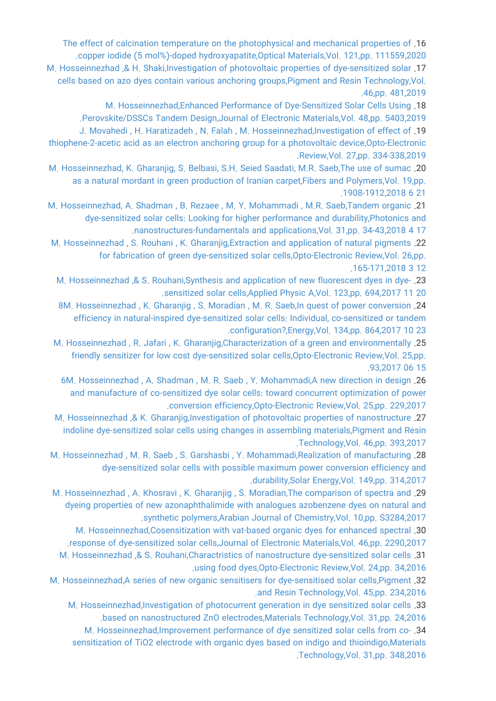[The effect of calcination temperature on the photophysical and mechanical properties of](https://faculty.icrc.ac.ir/mozhgan-hosseinnezhad/fa/articlesInPublications/865/the-effect-of-calcination-temperature-on-the-photophysical-and-mechanical-properties-of-copper-iodide-5-mol-doped-hydroxyapatite) .16 [.copper iodide \(5 mol%\)-doped hydroxyapatite,Optical Materials,Vol. 121,pp. 111559,2020](https://faculty.icrc.ac.ir/mozhgan-hosseinnezhad/fa/articlesInPublications/865/the-effect-of-calcination-temperature-on-the-photophysical-and-mechanical-properties-of-copper-iodide-5-mol-doped-hydroxyapatite)

[M. Hosseinnezhad ,& H. Shaki,Investigation of photovoltaic properties of dye-sensitized solar](https://faculty.icrc.ac.ir/mozhgan-hosseinnezhad/fa/articlesInPublications/530/investigation-of-photovoltaic-properties-of-dye-sensitized-solar-cells-based-on-azo-dyes-contain-various-anchoring-groups) .17 [cells based on azo dyes contain various anchoring groups,Pigment and Resin Technology,Vol.](https://faculty.icrc.ac.ir/mozhgan-hosseinnezhad/fa/articlesInPublications/530/investigation-of-photovoltaic-properties-of-dye-sensitized-solar-cells-based-on-azo-dyes-contain-various-anchoring-groups) [.46,pp. 481,2019](https://faculty.icrc.ac.ir/mozhgan-hosseinnezhad/fa/articlesInPublications/530/investigation-of-photovoltaic-properties-of-dye-sensitized-solar-cells-based-on-azo-dyes-contain-various-anchoring-groups)

[M. Hosseinnezhad,Enhanced Performance of Dye-Sensitized Solar Cells Using](https://faculty.icrc.ac.ir/mozhgan-hosseinnezhad/fa/articlesInPublications/529/enhanced-performance-of-dye-sensitized-solar-cells-using-perovskite-dsscs-tandem-design) .18

[.Perovskite/DSSCs Tandem Design,Journal of Electronic Materials,Vol. 48,pp. 5403,2019](https://faculty.icrc.ac.ir/mozhgan-hosseinnezhad/fa/articlesInPublications/529/enhanced-performance-of-dye-sensitized-solar-cells-using-perovskite-dsscs-tandem-design) [J. Movahedi , H. Haratizadeh , N. Falah , M. Hosseinnezhad,Investigation of effect of](https://faculty.icrc.ac.ir/mozhgan-hosseinnezhad/fa/articlesInPublications/667/investigation-of-effect-of-thiophene-2-acetic-acid-as-an-electron-anchoring-group-for-a-photovoltaic-device) .19

[thiophene-2-acetic acid as an electron anchoring group for a photovoltaic device,Opto-Electronic](https://faculty.icrc.ac.ir/mozhgan-hosseinnezhad/fa/articlesInPublications/667/investigation-of-effect-of-thiophene-2-acetic-acid-as-an-electron-anchoring-group-for-a-photovoltaic-device) [.Review,Vol. 27,pp. 334-338,2019](https://faculty.icrc.ac.ir/mozhgan-hosseinnezhad/fa/articlesInPublications/667/investigation-of-effect-of-thiophene-2-acetic-acid-as-an-electron-anchoring-group-for-a-photovoltaic-device)

[M. Hosseinnezhad, K. Gharanjig, S. Belbasi, S.H. Seied Saadati, M.R. Saeb,The use of sumac](https://faculty.icrc.ac.ir/mozhgan-hosseinnezhad/fa/articlesInPublications/86/the-use-of-sumac-as-a-natural-mordant-in-green-production-of-iranian-carpet) .20 [as a natural mordant in green production of Iranian carpet,Fibers and Polymers,Vol. 19,pp.](https://faculty.icrc.ac.ir/mozhgan-hosseinnezhad/fa/articlesInPublications/86/the-use-of-sumac-as-a-natural-mordant-in-green-production-of-iranian-carpet) [.1908-1912,2018 6 21](https://faculty.icrc.ac.ir/mozhgan-hosseinnezhad/fa/articlesInPublications/86/the-use-of-sumac-as-a-natural-mordant-in-green-production-of-iranian-carpet)

[M. Hosseinnezhad, A. Shadman , B. Rezaee , M. Y. Mohammadi , M.R. Saeb,Tandem organic](https://faculty.icrc.ac.ir/mozhgan-hosseinnezhad/fa/articlesInPublications/87/tandem-organic-dye-sensitized-solar-cells-looking-for-higher-performance-and-durability) .21 [dye-sensitized solar cells: Looking for higher performance and durability,Photonics and](https://faculty.icrc.ac.ir/mozhgan-hosseinnezhad/fa/articlesInPublications/87/tandem-organic-dye-sensitized-solar-cells-looking-for-higher-performance-and-durability) [.nanostructures-fundamentals and applications,Vol. 31,pp. 34-43,2018 4 17](https://faculty.icrc.ac.ir/mozhgan-hosseinnezhad/fa/articlesInPublications/87/tandem-organic-dye-sensitized-solar-cells-looking-for-higher-performance-and-durability)

[M. Hosseinnezhad , S. Rouhani , K. Gharanjig,Extraction and application of natural pigments](https://faculty.icrc.ac.ir/mozhgan-hosseinnezhad/fa/articlesInPublications/88/extraction-and-application-of-natural-pigments-for-fabrication-of-green-dye-sensitized-solar-cells) .22 [for fabrication of green dye-sensitized solar cells,Opto-Electronic Review,Vol. 26,pp.](https://faculty.icrc.ac.ir/mozhgan-hosseinnezhad/fa/articlesInPublications/88/extraction-and-application-of-natural-pigments-for-fabrication-of-green-dye-sensitized-solar-cells) [.165-171,2018 3 12](https://faculty.icrc.ac.ir/mozhgan-hosseinnezhad/fa/articlesInPublications/88/extraction-and-application-of-natural-pigments-for-fabrication-of-green-dye-sensitized-solar-cells)

[M. Hosseinnezhad ,& S. Rouhani,Synthesis and application of new fluorescent dyes in dye-](https://faculty.icrc.ac.ir/mozhgan-hosseinnezhad/fa/articlesInPublications/89/synthesis-and-application-of-new-fluorescent-dyes-in-dye-sensitized-solar-cells) .23 [.sensitized solar cells,Applied Physic A,Vol. 123,pp. 694,2017 11 20](https://faculty.icrc.ac.ir/mozhgan-hosseinnezhad/fa/articlesInPublications/89/synthesis-and-application-of-new-fluorescent-dyes-in-dye-sensitized-solar-cells)

[8M. Hosseinnezhad , K. Gharanjig , S. Moradian , M. R. Saeb,In quest of power conversion](https://faculty.icrc.ac.ir/mozhgan-hosseinnezhad/fa/articlesInPublications/90/in-quest-of-power-conversion-efficiency-in-natural-inspired-dye-sensitized-solar-cells-individual-co-sensitized-or-tandem-configuration-) .24 [efficiency in natural-inspired dye-sensitized solar cells: Individual, co-sensitized or tandem](https://faculty.icrc.ac.ir/mozhgan-hosseinnezhad/fa/articlesInPublications/90/in-quest-of-power-conversion-efficiency-in-natural-inspired-dye-sensitized-solar-cells-individual-co-sensitized-or-tandem-configuration-) [.configuration?,Energy,Vol. 134,pp. 864,2017 10 23](https://faculty.icrc.ac.ir/mozhgan-hosseinnezhad/fa/articlesInPublications/90/in-quest-of-power-conversion-efficiency-in-natural-inspired-dye-sensitized-solar-cells-individual-co-sensitized-or-tandem-configuration-)

[M. Hosseinnezhad , R. Jafari , K. Gharanjig,Characterization of a green and environmentally](https://faculty.icrc.ac.ir/mozhgan-hosseinnezhad/fa/articlesInPublications/92/characterization-of-a-green-and-environmentally-friendly-sensitizer-for-low-cost-dye-sensitized-solar-cells) .25 [friendly sensitizer for low cost dye-sensitized solar cells,Opto-Electronic Review,Vol. 25,pp.](https://faculty.icrc.ac.ir/mozhgan-hosseinnezhad/fa/articlesInPublications/92/characterization-of-a-green-and-environmentally-friendly-sensitizer-for-low-cost-dye-sensitized-solar-cells) [.93,2017 06 15](https://faculty.icrc.ac.ir/mozhgan-hosseinnezhad/fa/articlesInPublications/92/characterization-of-a-green-and-environmentally-friendly-sensitizer-for-low-cost-dye-sensitized-solar-cells)

[6M. Hosseinnezhad , A. Shadman , M. R. Saeb , Y. Mohammadi,A new direction in design](https://faculty.icrc.ac.ir/mozhgan-hosseinnezhad/fa/articlesInPublications/91/a-new-direction-in-design-and-manufacture-of-co-sensitized-dye-solar-cells-toward-concurrent-optimization-of-power-conversion-efficiency) .26 [and manufacture of co-sensitized dye solar cells: toward concurrent optimization of power](https://faculty.icrc.ac.ir/mozhgan-hosseinnezhad/fa/articlesInPublications/91/a-new-direction-in-design-and-manufacture-of-co-sensitized-dye-solar-cells-toward-concurrent-optimization-of-power-conversion-efficiency) [.conversion efficiency,Opto-Electronic Review,Vol. 25,pp. 229,2017](https://faculty.icrc.ac.ir/mozhgan-hosseinnezhad/fa/articlesInPublications/91/a-new-direction-in-design-and-manufacture-of-co-sensitized-dye-solar-cells-toward-concurrent-optimization-of-power-conversion-efficiency)

[M. Hosseinnezhad ,& K. Gharanjig,Investigation of photovoltaic properties of nanostructure](https://faculty.icrc.ac.ir/mozhgan-hosseinnezhad/fa/articlesInPublications/93/investigation-of-photovoltaic-properties-of-nanostructure-indoline-dye-sensitized-solar-cells-using-changes-in-assembling-materials) .27 [indoline dye-sensitized solar cells using changes in assembling materials,Pigment and Resin](https://faculty.icrc.ac.ir/mozhgan-hosseinnezhad/fa/articlesInPublications/93/investigation-of-photovoltaic-properties-of-nanostructure-indoline-dye-sensitized-solar-cells-using-changes-in-assembling-materials) [.Technology,Vol. 46,pp. 393,2017](https://faculty.icrc.ac.ir/mozhgan-hosseinnezhad/fa/articlesInPublications/93/investigation-of-photovoltaic-properties-of-nanostructure-indoline-dye-sensitized-solar-cells-using-changes-in-assembling-materials)

[M. Hosseinnezhad , M. R. Saeb , S. Garshasbi , Y. Mohammadi,Realization of manufacturing](https://faculty.icrc.ac.ir/mozhgan-hosseinnezhad/fa/articlesInPublications/94/realization-of-manufacturing-dye-sensitized-solar-cells-with-possible-maximum-power-conversion-efficiency-and-durability) .28 [dye-sensitized solar cells with possible maximum power conversion efficiency and](https://faculty.icrc.ac.ir/mozhgan-hosseinnezhad/fa/articlesInPublications/94/realization-of-manufacturing-dye-sensitized-solar-cells-with-possible-maximum-power-conversion-efficiency-and-durability) [.durability,Solar Energy,Vol. 149,pp. 314,2017](https://faculty.icrc.ac.ir/mozhgan-hosseinnezhad/fa/articlesInPublications/94/realization-of-manufacturing-dye-sensitized-solar-cells-with-possible-maximum-power-conversion-efficiency-and-durability)

[M. Hosseinnezhad , A. Khosravi , K. Gharanjig , S. Moradian,The comparison of spectra and](https://faculty.icrc.ac.ir/mozhgan-hosseinnezhad/fa/articlesInPublications/100/the-comparison-of-spectra-and-dyeing-properties-of-new-azonaphthalimide-with-analogues-azobenzene-dyes-on-natural-and-synthetic-polymers) .29 [dyeing properties of new azonaphthalimide with analogues azobenzene dyes on natural and](https://faculty.icrc.ac.ir/mozhgan-hosseinnezhad/fa/articlesInPublications/100/the-comparison-of-spectra-and-dyeing-properties-of-new-azonaphthalimide-with-analogues-azobenzene-dyes-on-natural-and-synthetic-polymers) [.synthetic polymers,Arabian Journal of Chemistry,Vol. 10,pp. S3284,2017](https://faculty.icrc.ac.ir/mozhgan-hosseinnezhad/fa/articlesInPublications/100/the-comparison-of-spectra-and-dyeing-properties-of-new-azonaphthalimide-with-analogues-azobenzene-dyes-on-natural-and-synthetic-polymers)

[M. Hosseinnezhad,Cosensitization with vat-based organic dyes for enhanced spectral](https://faculty.icrc.ac.ir/mozhgan-hosseinnezhad/fa/articlesInPublications/99/cosensitization-with-vat-based-organic-dyes-for-enhanced-spectral-response-of-dye-sensitized-solar-cells) .30 [.response of dye-sensitized solar cells,Journal of Electronic Materials,Vol. 46,pp. 2290,2017](https://faculty.icrc.ac.ir/mozhgan-hosseinnezhad/fa/articlesInPublications/99/cosensitization-with-vat-based-organic-dyes-for-enhanced-spectral-response-of-dye-sensitized-solar-cells) [M. Hosseinnezhad ,& S. Rouhani,Charactristics of nanostructure dye-sensitized solar cells](https://faculty.icrc.ac.ir/mozhgan-hosseinnezhad/fa/articlesInPublications/97/charactristics-of-nanostructure-dye-sensitized-solar-cells-using-food-dyes) .31 [.using food dyes,Opto-Electronic Review,Vol. 24,pp. 34,2016](https://faculty.icrc.ac.ir/mozhgan-hosseinnezhad/fa/articlesInPublications/97/charactristics-of-nanostructure-dye-sensitized-solar-cells-using-food-dyes)

[M. Hosseinnezhad,A series of new organic sensitisers for dye-sensitised solar cells,Pigment](https://faculty.icrc.ac.ir/mozhgan-hosseinnezhad/fa/articlesInPublications/98/a-series-of-new-organic-sensitisers-for-dye-sensitised-solar-cells) .32 [.and Resin Technology,Vol. 45,pp. 234,2016](https://faculty.icrc.ac.ir/mozhgan-hosseinnezhad/fa/articlesInPublications/98/a-series-of-new-organic-sensitisers-for-dye-sensitised-solar-cells)

[M. Hosseinnezhad,Investigation of photocurrent generation in dye sensitized solar cells](https://faculty.icrc.ac.ir/mozhgan-hosseinnezhad/fa/articlesInPublications/96/investigation-of-photocurrent-generation-in-dye-sensitized-solar-cells-based-on-nanostructured-zno-electrodes) .33 [.based on nanostructured ZnO electrodes,Materials Technology,Vol. 31,pp. 24,2016](https://faculty.icrc.ac.ir/mozhgan-hosseinnezhad/fa/articlesInPublications/96/investigation-of-photocurrent-generation-in-dye-sensitized-solar-cells-based-on-nanostructured-zno-electrodes)

[M. Hosseinnezhad,Improvement performance of dye sensitized solar cells from co-](https://faculty.icrc.ac.ir/mozhgan-hosseinnezhad/fa/articlesInPublications/95/improvement-performance-of-dye-sensitized-solar-cells-from-co-sensitization-of-tio2-electrode-with-organic-dyes-based-on-indigo-and-thioindigo) .34 [sensitization of TiO2 electrode with organic dyes based on indigo and thioindigo,Materials](https://faculty.icrc.ac.ir/mozhgan-hosseinnezhad/fa/articlesInPublications/95/improvement-performance-of-dye-sensitized-solar-cells-from-co-sensitization-of-tio2-electrode-with-organic-dyes-based-on-indigo-and-thioindigo) [.Technology,Vol. 31,pp. 348,2016](https://faculty.icrc.ac.ir/mozhgan-hosseinnezhad/fa/articlesInPublications/95/improvement-performance-of-dye-sensitized-solar-cells-from-co-sensitization-of-tio2-electrode-with-organic-dyes-based-on-indigo-and-thioindigo)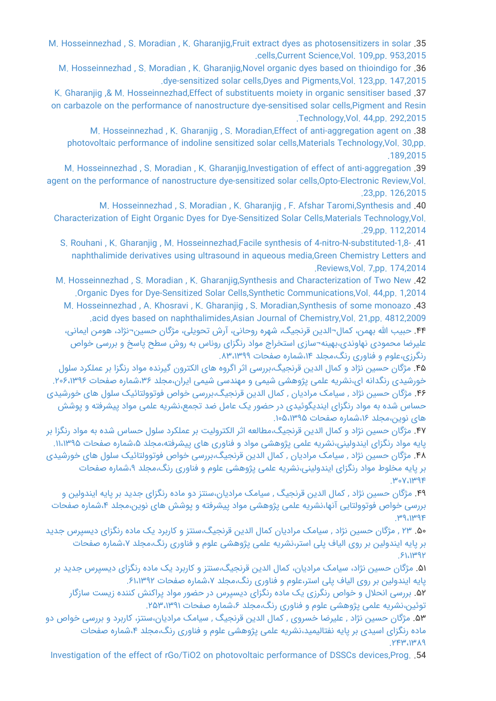[M. Hosseinnezhad , S. Moradian , K. Gharanjig,Fruit extract dyes as photosensitizers in solar](https://faculty.icrc.ac.ir/mozhgan-hosseinnezhad/fa/articlesInPublications/101/fruit-extract-dyes-as-photosensitizers-in-solar-cells) .35 [.cells,Current Science,Vol. 109,pp. 953,2015](https://faculty.icrc.ac.ir/mozhgan-hosseinnezhad/fa/articlesInPublications/101/fruit-extract-dyes-as-photosensitizers-in-solar-cells)

[M. Hosseinnezhad , S. Moradian , K. Gharanjig,Novel organic dyes based on thioindigo for](https://faculty.icrc.ac.ir/mozhgan-hosseinnezhad/fa/articlesInPublications/102/novel-organic-dyes-based-on-thioindigo-for-dye-sensitized-solar-cells) .36 [.dye-sensitized solar cells,Dyes and Pigments,Vol. 123,pp. 147,2015](https://faculty.icrc.ac.ir/mozhgan-hosseinnezhad/fa/articlesInPublications/102/novel-organic-dyes-based-on-thioindigo-for-dye-sensitized-solar-cells)

[K. Gharanjig ,& M. Hosseinnezhad,Effect of substituents moiety in organic sensitiser based](https://faculty.icrc.ac.ir/mozhgan-hosseinnezhad/fa/articlesInPublications/103/effect-of-substituents-moiety-in-organic-sensitiser-based-on-carbazole-on-the-performance-of-nanostructure-dye-sensitised-solar-cells) .37 [on carbazole on the performance of nanostructure dye-sensitised solar cells,Pigment and Resin](https://faculty.icrc.ac.ir/mozhgan-hosseinnezhad/fa/articlesInPublications/103/effect-of-substituents-moiety-in-organic-sensitiser-based-on-carbazole-on-the-performance-of-nanostructure-dye-sensitised-solar-cells) [.Technology,Vol. 44,pp. 292,2015](https://faculty.icrc.ac.ir/mozhgan-hosseinnezhad/fa/articlesInPublications/103/effect-of-substituents-moiety-in-organic-sensitiser-based-on-carbazole-on-the-performance-of-nanostructure-dye-sensitised-solar-cells)

[M. Hosseinnezhad , K. Gharanjig , S. Moradian,Effect of anti-aggregation agent on](https://faculty.icrc.ac.ir/mozhgan-hosseinnezhad/fa/articlesInPublications/104/effect-of-anti-aggregation-agent-on-photovoltaic-performance-of-indoline-sensitized-solar-cells) .38 [photovoltaic performance of indoline sensitized solar cells,Materials Technology,Vol. 30,pp.](https://faculty.icrc.ac.ir/mozhgan-hosseinnezhad/fa/articlesInPublications/104/effect-of-anti-aggregation-agent-on-photovoltaic-performance-of-indoline-sensitized-solar-cells) [.189,2015](https://faculty.icrc.ac.ir/mozhgan-hosseinnezhad/fa/articlesInPublications/104/effect-of-anti-aggregation-agent-on-photovoltaic-performance-of-indoline-sensitized-solar-cells)

[M. Hosseinnezhad , S. Moradian , K. Gharanjig,Investigation of effect of anti-aggregation](https://faculty.icrc.ac.ir/mozhgan-hosseinnezhad/fa/articlesInPublications/105/investigation-of-effect-of-anti-aggregation-agent-on-the-performance-of-nanostructure-dye-sensitized-solar-cells) .39 [agent on the performance of nanostructure dye-sensitized solar cells,Opto-Electronic Review,Vol.](https://faculty.icrc.ac.ir/mozhgan-hosseinnezhad/fa/articlesInPublications/105/investigation-of-effect-of-anti-aggregation-agent-on-the-performance-of-nanostructure-dye-sensitized-solar-cells) [.23,pp. 126,2015](https://faculty.icrc.ac.ir/mozhgan-hosseinnezhad/fa/articlesInPublications/105/investigation-of-effect-of-anti-aggregation-agent-on-the-performance-of-nanostructure-dye-sensitized-solar-cells)

[M. Hosseinnezhad , S. Moradian , K. Gharanjig , F. Afshar Taromi,Synthesis and](https://faculty.icrc.ac.ir/mozhgan-hosseinnezhad/fa/articlesInPublications/108/synthesis-and-characterization-of-eight-organic-dyes-for-dye-sensitized-solar-cells) .40

[Characterization of Eight Organic Dyes for Dye-Sensitized Solar Cells,Materials Technology,Vol.](https://faculty.icrc.ac.ir/mozhgan-hosseinnezhad/fa/articlesInPublications/108/synthesis-and-characterization-of-eight-organic-dyes-for-dye-sensitized-solar-cells) [.29,pp. 112,2014](https://faculty.icrc.ac.ir/mozhgan-hosseinnezhad/fa/articlesInPublications/108/synthesis-and-characterization-of-eight-organic-dyes-for-dye-sensitized-solar-cells)

[S. Rouhani , K. Gharanjig , M. Hosseinnezhad,Facile synthesis of 4-nitro-N-substituted-1,8-](https://faculty.icrc.ac.ir/mozhgan-hosseinnezhad/fa/articlesInPublications/106/facile-synthesis-of-4-nitro-n-substituted-1-8-naphthalimide-derivatives-using-ultrasound-in-aqueous-media) .41 [naphthalimide derivatives using ultrasound in aqueous media,Green Chemistry Letters and](https://faculty.icrc.ac.ir/mozhgan-hosseinnezhad/fa/articlesInPublications/106/facile-synthesis-of-4-nitro-n-substituted-1-8-naphthalimide-derivatives-using-ultrasound-in-aqueous-media) [.Reviews,Vol. 7,pp. 174,2014](https://faculty.icrc.ac.ir/mozhgan-hosseinnezhad/fa/articlesInPublications/106/facile-synthesis-of-4-nitro-n-substituted-1-8-naphthalimide-derivatives-using-ultrasound-in-aqueous-media)

[M. Hosseinnezhad , S. Moradian , K. Gharanjig,Synthesis and Characterization of Two New](https://faculty.icrc.ac.ir/mozhgan-hosseinnezhad/fa/articlesInPublications/107/synthesis-and-characterization-of-two-new-organic-dyes-for-dye-sensitized-solar-cells) .42 [.Organic Dyes for Dye-Sensitized Solar Cells,Synthetic Communications,Vol. 44,pp. 1,2014](https://faculty.icrc.ac.ir/mozhgan-hosseinnezhad/fa/articlesInPublications/107/synthesis-and-characterization-of-two-new-organic-dyes-for-dye-sensitized-solar-cells)

[M. Hosseinnezhad , A. Khosravi , K. Gharanjig , S. Moradian,Synthesis of some monoazo](https://faculty.icrc.ac.ir/mozhgan-hosseinnezhad/fa/articlesInPublications/109/synthesis-of-some-monoazo-acid-dyes-based-on-naphthalimides) .43 [.acid dyes based on naphthalimides,Asian Journal of Chemistry,Vol. 21,pp. 4812,2009](https://faculty.icrc.ac.ir/mozhgan-hosseinnezhad/fa/articlesInPublications/109/synthesis-of-some-monoazo-acid-dyes-based-on-naphthalimides)

.۴۴ [حبیب االله بهمن، کمال¬الدین قرنجیگ، شهره روحانی، آرش تحویلی، مژگان حسین¬نژاد، هومن ایمانی،](https://faculty.icrc.ac.ir/mozhgan-hosseinnezhad/fa/articlesInPublications/739/%D8%A8%D9%87%DB%8C%D9%86%D9%87-%D8%B3%D8%A7%D8%B2%DB%8C-%D8%A7%D8%B3%D8%AA%D8%AE%D8%B1%D8%A7%D8%AC-%D9%85%D9%88%D8%A7%D8%AF-%D8%B1%D9%86%DA%AF%D8%B2%D8%A7%DB%8C-%D8%B1%D9%88%D9%86%D8%A7%D8%B3-%D8%A8%D9%87-%D8%B1%D9%88%D8%B4-%D8%B3%D8%B7%D8%AD-%D9%BE%D8%A7%D8%B3%D8%AE-%D9%88-%D8%A8%D8%B1%D8%B1%D8%B3%DB%8C-%D8%AE%D9%88%D8%A7%D8%B5-%D8%B1%D9%86%DA%AF%D8%B1%D8%B2%DB%8C) [علیرضا محمودی نهاوندی،بهینه¬سازی استخراج مواد رنگزای روناس به روش سطح پاسخ و بررسی خواص](https://faculty.icrc.ac.ir/mozhgan-hosseinnezhad/fa/articlesInPublications/739/%D8%A8%D9%87%DB%8C%D9%86%D9%87-%D8%B3%D8%A7%D8%B2%DB%8C-%D8%A7%D8%B3%D8%AA%D8%AE%D8%B1%D8%A7%D8%AC-%D9%85%D9%88%D8%A7%D8%AF-%D8%B1%D9%86%DA%AF%D8%B2%D8%A7%DB%8C-%D8%B1%D9%88%D9%86%D8%A7%D8%B3-%D8%A8%D9%87-%D8%B1%D9%88%D8%B4-%D8%B3%D8%B7%D8%AD-%D9%BE%D8%A7%D8%B3%D8%AE-%D9%88-%D8%A8%D8%B1%D8%B1%D8%B3%DB%8C-%D8%AE%D9%88%D8%A7%D8%B5-%D8%B1%D9%86%DA%AF%D8%B1%D8%B2%DB%8C) [رنگرزی،علوم و فناوری رنگ،مجلد ،۱۴شماره صفحات .۸۳،۱۳۹۹](https://faculty.icrc.ac.ir/mozhgan-hosseinnezhad/fa/articlesInPublications/739/%D8%A8%D9%87%DB%8C%D9%86%D9%87-%D8%B3%D8%A7%D8%B2%DB%8C-%D8%A7%D8%B3%D8%AA%D8%AE%D8%B1%D8%A7%D8%AC-%D9%85%D9%88%D8%A7%D8%AF-%D8%B1%D9%86%DA%AF%D8%B2%D8%A7%DB%8C-%D8%B1%D9%88%D9%86%D8%A7%D8%B3-%D8%A8%D9%87-%D8%B1%D9%88%D8%B4-%D8%B3%D8%B7%D8%AD-%D9%BE%D8%A7%D8%B3%D8%AE-%D9%88-%D8%A8%D8%B1%D8%B1%D8%B3%DB%8C-%D8%AE%D9%88%D8%A7%D8%B5-%D8%B1%D9%86%DA%AF%D8%B1%D8%B2%DB%8C)

.۴۵ [مژگان حسین نژاد و کمال الدین قرنجیگ،بررسی اثر اگروه های الکترون گیرنده مواد رنگزا بر عملکرد سلول](https://faculty.icrc.ac.ir/mozhgan-hosseinnezhad/fa/articlesInPublications/126/%D8%A8%D8%B1%D8%B1%D8%B3%DB%8C-%D8%A7%D8%AB%D8%B1-%D8%A7%DA%AF%D8%B1%D9%88%D9%87-%D9%87%D8%A7%DB%8C-%D8%A7%D9%84%DA%A9%D8%AA%D8%B1%D9%88%D9%86-%DA%AF%DB%8C%D8%B1%D9%86%D8%AF%D9%87-%D9%85%D9%88%D8%A7%D8%AF-%D8%B1%D9%86%DA%AF%D8%B2%D8%A7-%D8%A8%D8%B1-%D8%B9%D9%85%D9%84%DA%A9%D8%B1%D8%AF-%D8%B3%D9%84%D9%88%D9%84-%D8%AE%D9%88%D8%B1%D8%B4%DB%8C%D8%AF%DB%8C-%D8%B1%D9%86%DA%AF%D8%AF%D8%A7%D9%86%D9%87-%D8%A7%DB%8C) [خورشیدی رنگدانه ای،نشریه علمی پژوهشی شیمی و مهندسی شیمی ایران،مجلد ،۳۶شماره صفحات .۲۰۶،۱۳۹۶](https://faculty.icrc.ac.ir/mozhgan-hosseinnezhad/fa/articlesInPublications/126/%D8%A8%D8%B1%D8%B1%D8%B3%DB%8C-%D8%A7%D8%AB%D8%B1-%D8%A7%DA%AF%D8%B1%D9%88%D9%87-%D9%87%D8%A7%DB%8C-%D8%A7%D9%84%DA%A9%D8%AA%D8%B1%D9%88%D9%86-%DA%AF%DB%8C%D8%B1%D9%86%D8%AF%D9%87-%D9%85%D9%88%D8%A7%D8%AF-%D8%B1%D9%86%DA%AF%D8%B2%D8%A7-%D8%A8%D8%B1-%D8%B9%D9%85%D9%84%DA%A9%D8%B1%D8%AF-%D8%B3%D9%84%D9%88%D9%84-%D8%AE%D9%88%D8%B1%D8%B4%DB%8C%D8%AF%DB%8C-%D8%B1%D9%86%DA%AF%D8%AF%D8%A7%D9%86%D9%87-%D8%A7%DB%8C) .۴۶ [مژگان حسین نژاد , سیامک مرادیان , کمال الدین قرنجیگ،بررسی خواص فوتوولتائیک سلول های خورشیدی](https://faculty.icrc.ac.ir/mozhgan-hosseinnezhad/fa/articlesInPublications/127/%D8%A8%D8%B1%D8%B1%D8%B3%DB%8C-%D8%AE%D9%88%D8%A7%D8%B5-%D9%81%D9%88%D8%AA%D9%88%D9%88%D9%84%D8%AA%D8%A7%D8%A6%DB%8C%DA%A9-%D8%B3%D9%84%D9%88%D9%84-%D9%87%D8%A7%DB%8C-%D8%AE%D9%88%D8%B1%D8%B4%DB%8C%D8%AF%DB%8C-%D8%AD%D8%B3%D8%A7%D8%B3-%D8%B4%D8%AF%D9%87-%D8%A8%D9%87-%D9%85%D9%88%D8%A7%D8%AF-%D8%B1%D9%86%DA%AF%D8%B2%D8%A7%DB%8C-%D8%A7%DB%8C%D9%86%D8%AF%DB%8C%DA%AF%D9%88%D8%A6%DB%8C%D8%AF%DB%8C-%D8%AF%D8%B1-%D8%AD%D8%B6%D9%88%D8%B1-%DB%8C%DA%A9-%D8%B9%D8%A7%D9%85%D9%84-%D8%B6%D8%AF-%D8%AA%D8%AC%D9%85%D8%B9) [حساس شده به مواد رنگزای ایندیگوئیدی در حضور یک عامل ضد تجمع،نشریه علمی مواد پیشرفته و پوشش](https://faculty.icrc.ac.ir/mozhgan-hosseinnezhad/fa/articlesInPublications/127/%D8%A8%D8%B1%D8%B1%D8%B3%DB%8C-%D8%AE%D9%88%D8%A7%D8%B5-%D9%81%D9%88%D8%AA%D9%88%D9%88%D9%84%D8%AA%D8%A7%D8%A6%DB%8C%DA%A9-%D8%B3%D9%84%D9%88%D9%84-%D9%87%D8%A7%DB%8C-%D8%AE%D9%88%D8%B1%D8%B4%DB%8C%D8%AF%DB%8C-%D8%AD%D8%B3%D8%A7%D8%B3-%D8%B4%D8%AF%D9%87-%D8%A8%D9%87-%D9%85%D9%88%D8%A7%D8%AF-%D8%B1%D9%86%DA%AF%D8%B2%D8%A7%DB%8C-%D8%A7%DB%8C%D9%86%D8%AF%DB%8C%DA%AF%D9%88%D8%A6%DB%8C%D8%AF%DB%8C-%D8%AF%D8%B1-%D8%AD%D8%B6%D9%88%D8%B1-%DB%8C%DA%A9-%D8%B9%D8%A7%D9%85%D9%84-%D8%B6%D8%AF-%D8%AA%D8%AC%D9%85%D8%B9) های نوین،مجلد ۱۶،شماره صفحات ۱۳۹۵،۵۰۱۳۹۵.

.۴۷ [مژگان حسین نژاد و کمال الدین قرنجیگ،مطالعه اثر الکترولیت بر عملکرد سلول حساس شده به مواد رنگزا بر](https://faculty.icrc.ac.ir/mozhgan-hosseinnezhad/fa/articlesInPublications/125/%D9%85%D8%B7%D8%A7%D9%84%D8%B9%D9%87-%D8%A7%D8%AB%D8%B1-%D8%A7%D9%84%DA%A9%D8%AA%D8%B1%D9%88%D9%84%DB%8C%D8%AA-%D8%A8%D8%B1-%D8%B9%D9%85%D9%84%DA%A9%D8%B1%D8%AF-%D8%B3%D9%84%D9%88%D9%84-%D8%AD%D8%B3%D8%A7%D8%B3-%D8%B4%D8%AF%D9%87-%D8%A8%D9%87-%D9%85%D9%88%D8%A7%D8%AF-%D8%B1%D9%86%DA%AF%D8%B2%D8%A7-%D8%A8%D8%B1-%D9%BE%D8%A7%DB%8C%D9%87-%D9%85%D9%88%D8%A7%D8%AF-%D8%B1%D9%86%DA%AF%D8%B2%D8%A7%DB%8C-%D8%A7%DB%8C%D9%86%D8%AF%D9%88%D9%84%DB%8C%D9%86%DB%8C) پایه مواد رنگزای ایندولینی،نشریه علمی پژوهشی مواد و فناوری های پیشرفته،مجلد ۵،شماره صفحات ۱۱،۱۳۹۵. .۴۸ [مژگان حسین نژاد , سیامک مرادیان , کمال الدین قرنجیگ،بررسی خواص فوتوولتائیک سلول های خورشیدی](https://faculty.icrc.ac.ir/mozhgan-hosseinnezhad/fa/articlesInPublications/124/%D8%A8%D8%B1%D8%B1%D8%B3%DB%8C-%D8%AE%D9%88%D8%A7%D8%B5-%D9%81%D9%88%D8%AA%D9%88%D9%88%D9%84%D8%AA%D8%A7%D8%A6%DB%8C%DA%A9-%D8%B3%D9%84%D9%88%D9%84-%D9%87%D8%A7%DB%8C-%D8%AE%D9%88%D8%B1%D8%B4%DB%8C%D8%AF%DB%8C-%D8%A8%D8%B1-%D9%BE%D8%A7%DB%8C%D9%87-%D9%85%D8%AE%D9%84%D9%88%D8%B7-%D9%85%D9%88%D8%A7%D8%AF-%D8%B1%D9%86%DA%AF%D8%B2%D8%A7%DB%8C-%D8%A7%DB%8C%D9%86%D8%AF%D9%88%D9%84%DB%8C%D9%86%DB%8C) [بر پایه مخلوط مواد رنگزای ایندولینی،نشریه علمی پژوهشی علوم و فناوری رنگ،مجلد ،۹شماره صفحات](https://faculty.icrc.ac.ir/mozhgan-hosseinnezhad/fa/articlesInPublications/124/%D8%A8%D8%B1%D8%B1%D8%B3%DB%8C-%D8%AE%D9%88%D8%A7%D8%B5-%D9%81%D9%88%D8%AA%D9%88%D9%88%D9%84%D8%AA%D8%A7%D8%A6%DB%8C%DA%A9-%D8%B3%D9%84%D9%88%D9%84-%D9%87%D8%A7%DB%8C-%D8%AE%D9%88%D8%B1%D8%B4%DB%8C%D8%AF%DB%8C-%D8%A8%D8%B1-%D9%BE%D8%A7%DB%8C%D9%87-%D9%85%D8%AE%D9%84%D9%88%D8%B7-%D9%85%D9%88%D8%A7%D8%AF-%D8%B1%D9%86%DA%AF%D8%B2%D8%A7%DB%8C-%D8%A7%DB%8C%D9%86%D8%AF%D9%88%D9%84%DB%8C%D9%86%DB%8C) [.۳۰۷،۱۳۹۴](https://faculty.icrc.ac.ir/mozhgan-hosseinnezhad/fa/articlesInPublications/124/%D8%A8%D8%B1%D8%B1%D8%B3%DB%8C-%D8%AE%D9%88%D8%A7%D8%B5-%D9%81%D9%88%D8%AA%D9%88%D9%88%D9%84%D8%AA%D8%A7%D8%A6%DB%8C%DA%A9-%D8%B3%D9%84%D9%88%D9%84-%D9%87%D8%A7%DB%8C-%D8%AE%D9%88%D8%B1%D8%B4%DB%8C%D8%AF%DB%8C-%D8%A8%D8%B1-%D9%BE%D8%A7%DB%8C%D9%87-%D9%85%D8%AE%D9%84%D9%88%D8%B7-%D9%85%D9%88%D8%A7%D8%AF-%D8%B1%D9%86%DA%AF%D8%B2%D8%A7%DB%8C-%D8%A7%DB%8C%D9%86%D8%AF%D9%88%D9%84%DB%8C%D9%86%DB%8C)

.۴۹ [مژگان حسین نژاد , کمال الدین قرنجیگ , سیامک مرادیان،سنتز دو ماده رنگزای جدید بر پایه ایندولین و](https://faculty.icrc.ac.ir/mozhgan-hosseinnezhad/fa/articlesInPublications/123/%D8%B3%D9%86%D8%AA%D8%B2-%D8%AF%D9%88-%D9%85%D8%A7%D8%AF%D9%87-%D8%B1%D9%86%DA%AF%D8%B2%D8%A7%DB%8C-%D8%AC%D8%AF%DB%8C%D8%AF-%D8%A8%D8%B1-%D9%BE%D8%A7%DB%8C%D9%87-%D8%A7%DB%8C%D9%86%D8%AF%D9%88%D9%84%DB%8C%D9%86-%D9%88-%D8%A8%D8%B1%D8%B1%D8%B3%DB%8C-%D8%AE%D9%88%D8%A7%D8%B5-%D9%81%D9%88%D8%AA%D9%88%D9%88%D9%84%D8%AA%D8%A7%DB%8C%DB%8C-%D8%A2%D9%86%D9%87%D8%A7) بررسی خواص فوتوولتایی آنها،نشریه علمی پژوهشی مواد پیشرفته و پوشش های نوین،مجلد ۴،شماره صفحات [.۳۹،۱۳۹۴](https://faculty.icrc.ac.ir/mozhgan-hosseinnezhad/fa/articlesInPublications/123/%D8%B3%D9%86%D8%AA%D8%B2-%D8%AF%D9%88-%D9%85%D8%A7%D8%AF%D9%87-%D8%B1%D9%86%DA%AF%D8%B2%D8%A7%DB%8C-%D8%AC%D8%AF%DB%8C%D8%AF-%D8%A8%D8%B1-%D9%BE%D8%A7%DB%8C%D9%87-%D8%A7%DB%8C%D9%86%D8%AF%D9%88%D9%84%DB%8C%D9%86-%D9%88-%D8%A8%D8%B1%D8%B1%D8%B3%DB%8C-%D8%AE%D9%88%D8%A7%D8%B5-%D9%81%D9%88%D8%AA%D9%88%D9%88%D9%84%D8%AA%D8%A7%DB%8C%DB%8C-%D8%A2%D9%86%D9%87%D8%A7)

.۵۰ [۲۳ , مژگان حسین نژاد , سیامک مرادیان کمال الدین قرنجیگ،سنتز و کاربرد یک ماده رنگزای دیسپرس جدید](https://faculty.icrc.ac.ir/mozhgan-hosseinnezhad/fa/articlesInPublications/128/%D8%B3%D9%86%D8%AA%D8%B2-%D9%88-%DA%A9%D8%A7%D8%B1%D8%A8%D8%B1%D8%AF-%DB%8C%DA%A9-%D9%85%D8%A7%D8%AF%D9%87-%D8%B1%D9%86%DA%AF%D8%B2%D8%A7%DB%8C-%D8%AF%DB%8C%D8%B3%D9%BE%D8%B1%D8%B3-%D8%AC%D8%AF%DB%8C%D8%AF-%D8%A8%D8%B1-%D9%BE%D8%A7%DB%8C%D9%87-%D8%A7%DB%8C%D9%86%D8%AF%D9%88%D9%84%DB%8C%D9%86-%D8%A8%D8%B1-%D8%B1%D9%88%DB%8C-%D8%A7%D9%84%DB%8C%D8%A7%D9%81-%D9%BE%D9%84%DB%8C-%D8%A7%D8%B3%D8%AA%D8%B1) [بر پایه ایندولین بر روی الیاف پلی استر،نشریه علمی پژوهشی علوم و فناوری رنگ،مجلد ،۷شماره صفحات](https://faculty.icrc.ac.ir/mozhgan-hosseinnezhad/fa/articlesInPublications/128/%D8%B3%D9%86%D8%AA%D8%B2-%D9%88-%DA%A9%D8%A7%D8%B1%D8%A8%D8%B1%D8%AF-%DB%8C%DA%A9-%D9%85%D8%A7%D8%AF%D9%87-%D8%B1%D9%86%DA%AF%D8%B2%D8%A7%DB%8C-%D8%AF%DB%8C%D8%B3%D9%BE%D8%B1%D8%B3-%D8%AC%D8%AF%DB%8C%D8%AF-%D8%A8%D8%B1-%D9%BE%D8%A7%DB%8C%D9%87-%D8%A7%DB%8C%D9%86%D8%AF%D9%88%D9%84%DB%8C%D9%86-%D8%A8%D8%B1-%D8%B1%D9%88%DB%8C-%D8%A7%D9%84%DB%8C%D8%A7%D9%81-%D9%BE%D9%84%DB%8C-%D8%A7%D8%B3%D8%AA%D8%B1) [.۶۱،۱۳۹۲](https://faculty.icrc.ac.ir/mozhgan-hosseinnezhad/fa/articlesInPublications/128/%D8%B3%D9%86%D8%AA%D8%B2-%D9%88-%DA%A9%D8%A7%D8%B1%D8%A8%D8%B1%D8%AF-%DB%8C%DA%A9-%D9%85%D8%A7%D8%AF%D9%87-%D8%B1%D9%86%DA%AF%D8%B2%D8%A7%DB%8C-%D8%AF%DB%8C%D8%B3%D9%BE%D8%B1%D8%B3-%D8%AC%D8%AF%DB%8C%D8%AF-%D8%A8%D8%B1-%D9%BE%D8%A7%DB%8C%D9%87-%D8%A7%DB%8C%D9%86%D8%AF%D9%88%D9%84%DB%8C%D9%86-%D8%A8%D8%B1-%D8%B1%D9%88%DB%8C-%D8%A7%D9%84%DB%8C%D8%A7%D9%81-%D9%BE%D9%84%DB%8C-%D8%A7%D8%B3%D8%AA%D8%B1)

.۵۱ [مژگان حسین نژاد، سیامک مرادیان، کمال الدین قرنجیگ،سنتز و کاربرد یک ماده رنگزای دیسپرس جدید بر](https://faculty.icrc.ac.ir/mozhgan-hosseinnezhad/fa/articlesInPublications/122/%D8%B3%D9%86%D8%AA%D8%B2-%D9%88-%DA%A9%D8%A7%D8%B1%D8%A8%D8%B1%D8%AF-%DB%8C%DA%A9-%D9%85%D8%A7%D8%AF%D9%87-%D8%B1%D9%86%DA%AF%D8%B2%D8%A7%DB%8C-%D8%AF%DB%8C%D8%B3%D9%BE%D8%B1%D8%B3-%D8%AC%D8%AF%DB%8C%D8%AF-%D8%A8%D8%B1-%D9%BE%D8%A7%DB%8C%D9%87-%D8%A7%DB%8C%D9%86%D8%AF%D9%88%D9%84%DB%8C%D9%86-%D8%A8%D8%B1-%D8%B1%D9%88%DB%8C-%D8%A7%D9%84%DB%8C%D8%A7%D9%81-%D9%BE%D9%84%DB%8C-%D8%A7%D8%B3%D8%AA%D8%B1) [پایه ایندولین بر روی الیاف پلی استر،علوم و فناوری رنگ،مجلد ،۷شماره صفحات .۶۱،۱۳۹۲](https://faculty.icrc.ac.ir/mozhgan-hosseinnezhad/fa/articlesInPublications/122/%D8%B3%D9%86%D8%AA%D8%B2-%D9%88-%DA%A9%D8%A7%D8%B1%D8%A8%D8%B1%D8%AF-%DB%8C%DA%A9-%D9%85%D8%A7%D8%AF%D9%87-%D8%B1%D9%86%DA%AF%D8%B2%D8%A7%DB%8C-%D8%AF%DB%8C%D8%B3%D9%BE%D8%B1%D8%B3-%D8%AC%D8%AF%DB%8C%D8%AF-%D8%A8%D8%B1-%D9%BE%D8%A7%DB%8C%D9%87-%D8%A7%DB%8C%D9%86%D8%AF%D9%88%D9%84%DB%8C%D9%86-%D8%A8%D8%B1-%D8%B1%D9%88%DB%8C-%D8%A7%D9%84%DB%8C%D8%A7%D9%81-%D9%BE%D9%84%DB%8C-%D8%A7%D8%B3%D8%AA%D8%B1)

.۵۲ [بررسی انحلال و خواص رنگرزی یک ماده رنگزای دیسپرس در حضور مواد پراکنش کننده زیست سازگار](https://faculty.icrc.ac.ir/mozhgan-hosseinnezhad/fa/articlesInPublications/129/%D8%A8%D8%B1%D8%B1%D8%B3%DB%8C-%D8%A7%D9%86%D8%AD%D9%84%D8%A7%D9%84-%D9%88-%D8%AE%D9%88%D8%A7%D8%B5-%D8%B1%D9%86%DA%AF%D8%B1%D8%B2%DB%8C-%DB%8C%DA%A9-%D9%85%D8%A7%D8%AF%D9%87-%D8%B1%D9%86%DA%AF%D8%B2%D8%A7%DB%8C-%D8%AF%DB%8C%D8%B3%D9%BE%D8%B1%D8%B3-%D8%AF%D8%B1-%D8%AD%D8%B6%D9%88%D8%B1-%D9%85%D9%88%D8%A7%D8%AF-%D9%BE%D8%B1%D8%A7%DA%A9%D9%86%D8%B4-%DA%A9%D9%86%D9%86%D8%AF%D9%87-%D8%B2%DB%8C%D8%B3%D8%AA-%D8%B3%D8%A7%D8%B2%DA%AF%D8%A7%D8%B1-%D8%AA%D9%88%D8%A6%DB%8C%D9%86) [توئین،نشریه علمی پژوهشی علوم و فناوری رنگ،مجلد ،۶شماره صفحات .۲۵۳،۱۳۹۱](https://faculty.icrc.ac.ir/mozhgan-hosseinnezhad/fa/articlesInPublications/129/%D8%A8%D8%B1%D8%B1%D8%B3%DB%8C-%D8%A7%D9%86%D8%AD%D9%84%D8%A7%D9%84-%D9%88-%D8%AE%D9%88%D8%A7%D8%B5-%D8%B1%D9%86%DA%AF%D8%B1%D8%B2%DB%8C-%DB%8C%DA%A9-%D9%85%D8%A7%D8%AF%D9%87-%D8%B1%D9%86%DA%AF%D8%B2%D8%A7%DB%8C-%D8%AF%DB%8C%D8%B3%D9%BE%D8%B1%D8%B3-%D8%AF%D8%B1-%D8%AD%D8%B6%D9%88%D8%B1-%D9%85%D9%88%D8%A7%D8%AF-%D9%BE%D8%B1%D8%A7%DA%A9%D9%86%D8%B4-%DA%A9%D9%86%D9%86%D8%AF%D9%87-%D8%B2%DB%8C%D8%B3%D8%AA-%D8%B3%D8%A7%D8%B2%DA%AF%D8%A7%D8%B1-%D8%AA%D9%88%D8%A6%DB%8C%D9%86)

.۵۳ [مژگان حسین نژاد , علیرضا خسروی , کمال الدین قرنجیگ , سیامک مرادیان،سنتز، کاربرد و بررسی خواص دو](https://faculty.icrc.ac.ir/mozhgan-hosseinnezhad/fa/articlesInPublications/130/%D8%B3%D9%86%D8%AA%D8%B2-%DA%A9%D8%A7%D8%B1%D8%A8%D8%B1%D8%AF-%D9%88-%D8%A8%D8%B1%D8%B1%D8%B3%DB%8C-%D8%AE%D9%88%D8%A7%D8%B5-%D8%AF%D9%88-%D9%85%D8%A7%D8%AF%D9%87-%D8%B1%D9%86%DA%AF%D8%B2%D8%A7%DB%8C-%D8%A7%D8%B3%DB%8C%D8%AF%DB%8C-%D8%A8%D8%B1-%D9%BE%D8%A7%DB%8C%D9%87-%D9%86%D9%81%D8%AA%D8%A7%D9%84%DB%8C%D9%85%DB%8C%D8%AF) [ماده رنگزای اسیدی بر پایه نفتالیمید،نشریه علمی پژوهشی علوم و فناوری رنگ،مجلد ،۴شماره صفحات](https://faculty.icrc.ac.ir/mozhgan-hosseinnezhad/fa/articlesInPublications/130/%D8%B3%D9%86%D8%AA%D8%B2-%DA%A9%D8%A7%D8%B1%D8%A8%D8%B1%D8%AF-%D9%88-%D8%A8%D8%B1%D8%B1%D8%B3%DB%8C-%D8%AE%D9%88%D8%A7%D8%B5-%D8%AF%D9%88-%D9%85%D8%A7%D8%AF%D9%87-%D8%B1%D9%86%DA%AF%D8%B2%D8%A7%DB%8C-%D8%A7%D8%B3%DB%8C%D8%AF%DB%8C-%D8%A8%D8%B1-%D9%BE%D8%A7%DB%8C%D9%87-%D9%86%D9%81%D8%AA%D8%A7%D9%84%DB%8C%D9%85%DB%8C%D8%AF) [.۲۴۳،۱۳۸۹](https://faculty.icrc.ac.ir/mozhgan-hosseinnezhad/fa/articlesInPublications/130/%D8%B3%D9%86%D8%AA%D8%B2-%DA%A9%D8%A7%D8%B1%D8%A8%D8%B1%D8%AF-%D9%88-%D8%A8%D8%B1%D8%B1%D8%B3%DB%8C-%D8%AE%D9%88%D8%A7%D8%B5-%D8%AF%D9%88-%D9%85%D8%A7%D8%AF%D9%87-%D8%B1%D9%86%DA%AF%D8%B2%D8%A7%DB%8C-%D8%A7%D8%B3%DB%8C%D8%AF%DB%8C-%D8%A8%D8%B1-%D9%BE%D8%A7%DB%8C%D9%87-%D9%86%D9%81%D8%AA%D8%A7%D9%84%DB%8C%D9%85%DB%8C%D8%AF)

[Investigation of the effect of rGo/TiO2 on photovoltaic performance of DSSCs devices,Prog.](https://faculty.icrc.ac.ir/mozhgan-hosseinnezhad/fa/articlesInPublications/866/investigation-of-the-effect-of-rgo-tio2-on-photovoltaic-performance-of-dsscs-devices) .54